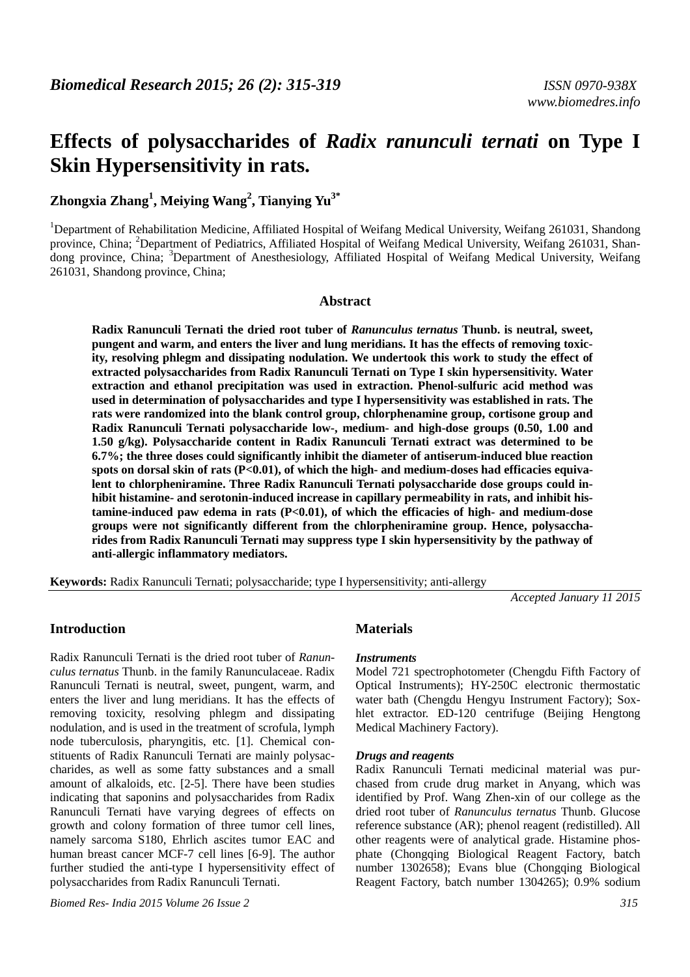# **Effects of polysaccharides of** *Radix ranunculi ternati* **on Type I Skin Hypersensitivity in rats.**

## **Zhongxia Zhang<sup>1</sup> , Meiying Wang<sup>2</sup> , Tianying Yu3\***

<sup>1</sup>Department of Rehabilitation Medicine, Affiliated Hospital of Weifang Medical University, Weifang 261031, Shandong province, China; <sup>2</sup>Department of Pediatrics, Affiliated Hospital of Weifang Medical University, Weifang 261031, Shandong province, China; <sup>3</sup>Department of Anesthesiology, Affiliated Hospital of Weifang Medical University, Weifang 261031, Shandong province, China;

### **Abstract**

**Radix Ranunculi Ternati the dried root tuber of** *Ranunculus ternatus* **Thunb. is neutral, sweet, pungent and warm, and enters the liver and lung meridians. It has the effects of removing toxicity, resolving phlegm and dissipating nodulation. We undertook this work to study the effect of extracted polysaccharides from Radix Ranunculi Ternati on Type I skin hypersensitivity. Water extraction and ethanol precipitation was used in extraction. Phenol-sulfuric acid method was used in determination of polysaccharides and type I hypersensitivity was established in rats. The rats were randomized into the blank control group, chlorphenamine group, cortisone group and Radix Ranunculi Ternati polysaccharide low-, medium- and high-dose groups (0.50, 1.00 and 1.50 g/kg). Polysaccharide content in Radix Ranunculi Ternati extract was determined to be 6.7%; the three doses could significantly inhibit the diameter of antiserum-induced blue reaction spots on dorsal skin of rats (P<0.01), of which the high- and medium-doses had efficacies equivalent to chlorpheniramine. Three Radix Ranunculi Ternati polysaccharide dose groups could inhibit histamine- and serotonin-induced increase in capillary permeability in rats, and inhibit histamine-induced paw edema in rats (P<0.01), of which the efficacies of high- and medium-dose groups were not significantly different from the chlorpheniramine group. Hence, polysaccharides from Radix Ranunculi Ternati may suppress type I skin hypersensitivity by the pathway of anti-allergic inflammatory mediators.** 

**Keywords:** Radix Ranunculi Ternati; polysaccharide; type I hypersensitivity; anti-allergy

*Accepted January 11 2015* 

## **Introduction**

Radix Ranunculi Ternati is the dried root tuber of *Ranunculus ternatus* Thunb. in the family Ranunculaceae. Radix Ranunculi Ternati is neutral, sweet, pungent, warm, and enters the liver and lung meridians. It has the effects of removing toxicity, resolving phlegm and dissipating nodulation, and is used in the treatment of scrofula, lymph node tuberculosis, pharyngitis, etc. [1]. Chemical constituents of Radix Ranunculi Ternati are mainly polysaccharides, as well as some fatty substances and a small amount of alkaloids, etc. [2-5]. There have been studies indicating that saponins and polysaccharides from Radix Ranunculi Ternati have varying degrees of effects on growth and colony formation of three tumor cell lines, namely sarcoma S180, Ehrlich ascites tumor EAC and human breast cancer MCF-7 cell lines [6-9]. The author further studied the anti-type I hypersensitivity effect of polysaccharides from Radix Ranunculi Ternati.

## **Materials**

## *Instruments*

Model 721 spectrophotometer (Chengdu Fifth Factory of Optical Instruments); HY-250C electronic thermostatic water bath (Chengdu Hengyu Instrument Factory); Soxhlet extractor. ED-120 centrifuge (Beijing Hengtong Medical Machinery Factory).

#### *Drugs and reagents*

Radix Ranunculi Ternati medicinal material was purchased from crude drug market in Anyang, which was identified by Prof. Wang Zhen-xin of our college as the dried root tuber of *Ranunculus ternatus* Thunb. Glucose reference substance (AR); phenol reagent (redistilled). All other reagents were of analytical grade. Histamine phosphate (Chongqing Biological Reagent Factory, batch number 1302658); Evans blue (Chongqing Biological Reagent Factory, batch number 1304265); 0.9% sodium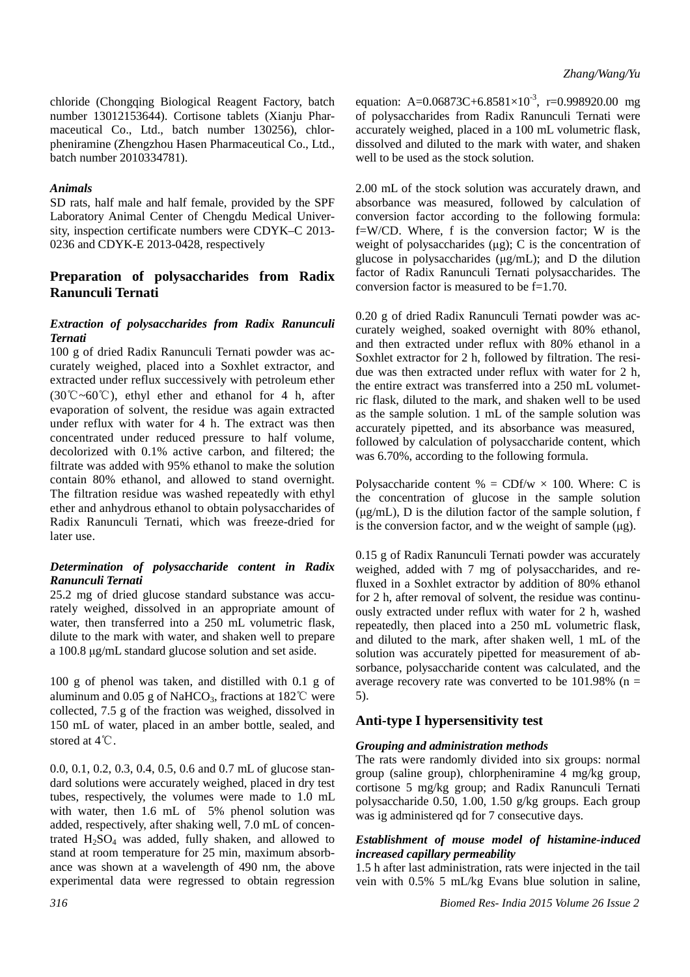chloride (Chongqing Biological Reagent Factory, batch number 13012153644). Cortisone tablets (Xianju Pharmaceutical Co., Ltd., batch number 130256), chlorpheniramine (Zhengzhou Hasen Pharmaceutical Co., Ltd., batch number 2010334781).

#### *Animals*

SD rats, half male and half female, provided by the SPF Laboratory Animal Center of Chengdu Medical University, inspection certificate numbers were CDYK–C 2013- 0236 and CDYK-E 2013-0428, respectively

## **Preparation of polysaccharides from Radix Ranunculi Ternati**

### *Extraction of polysaccharides from Radix Ranunculi Ternati*

100 g of dried Radix Ranunculi Ternati powder was accurately weighed, placed into a Soxhlet extractor, and extracted under reflux successively with petroleum ether  $(30^{\circ}\text{C} \sim 60^{\circ}\text{C})$ , ethyl ether and ethanol for 4 h, after evaporation of solvent, the residue was again extracted under reflux with water for 4 h. The extract was then concentrated under reduced pressure to half volume, decolorized with 0.1% active carbon, and filtered; the filtrate was added with 95% ethanol to make the solution contain 80% ethanol, and allowed to stand overnight. The filtration residue was washed repeatedly with ethyl ether and anhydrous ethanol to obtain polysaccharides of Radix Ranunculi Ternati, which was freeze-dried for later use.

#### *Determination of polysaccharide content in Radix Ranunculi Ternati*

25.2 mg of dried glucose standard substance was accurately weighed, dissolved in an appropriate amount of water, then transferred into a 250 mL volumetric flask, dilute to the mark with water, and shaken well to prepare a 100.8 μg/mL standard glucose solution and set aside.

100 g of phenol was taken, and distilled with 0.1 g of aluminum and 0.05 g of NaHCO<sub>3</sub>, fractions at 182°C were collected, 7.5 g of the fraction was weighed, dissolved in 150 mL of water, placed in an amber bottle, sealed, and stored at 4℃.

0.0, 0.1, 0.2, 0.3, 0.4, 0.5, 0.6 and 0.7 mL of glucose standard solutions were accurately weighed, placed in dry test tubes, respectively, the volumes were made to 1.0 mL with water, then 1.6 mL of 5% phenol solution was added, respectively, after shaking well, 7.0 mL of concentrated  $H<sub>2</sub>SO<sub>4</sub>$  was added, fully shaken, and allowed to stand at room temperature for 25 min, maximum absorbance was shown at a wavelength of 490 nm, the above experimental data were regressed to obtain regression

equation: A= $0.06873C+6.8581\times10^{-3}$ , r=0.998920.00 mg of polysaccharides from Radix Ranunculi Ternati were accurately weighed, placed in a 100 mL volumetric flask, dissolved and diluted to the mark with water, and shaken well to be used as the stock solution.

2.00 mL of the stock solution was accurately drawn, and absorbance was measured, followed by calculation of conversion factor according to the following formula: f=W/CD. Where, f is the conversion factor; W is the weight of polysaccharides (μg); C is the concentration of glucose in polysaccharides (μg/mL); and D the dilution factor of Radix Ranunculi Ternati polysaccharides. The conversion factor is measured to be f=1.70.

0.20 g of dried Radix Ranunculi Ternati powder was accurately weighed, soaked overnight with 80% ethanol, and then extracted under reflux with 80% ethanol in a Soxhlet extractor for 2 h, followed by filtration. The residue was then extracted under reflux with water for 2 h, the entire extract was transferred into a 250 mL volumetric flask, diluted to the mark, and shaken well to be used as the sample solution. 1 mL of the sample solution was accurately pipetted, and its absorbance was measured, followed by calculation of polysaccharide content, which was 6.70%, according to the following formula.

Polysaccharide content  $% = CDf/w \times 100$ . Where: C is the concentration of glucose in the sample solution (μg/mL), D is the dilution factor of the sample solution, f is the conversion factor, and w the weight of sample (μg).

0.15 g of Radix Ranunculi Ternati powder was accurately weighed, added with 7 mg of polysaccharides, and refluxed in a Soxhlet extractor by addition of 80% ethanol for 2 h, after removal of solvent, the residue was continuously extracted under reflux with water for 2 h, washed repeatedly, then placed into a 250 mL volumetric flask, and diluted to the mark, after shaken well, 1 mL of the solution was accurately pipetted for measurement of absorbance, polysaccharide content was calculated, and the average recovery rate was converted to be  $101.98\%$  (n = 5).

## **Anti-type I hypersensitivity test**

#### *Grouping and administration methods*

The rats were randomly divided into six groups: normal group (saline group), chlorpheniramine 4 mg/kg group, cortisone 5 mg/kg group; and Radix Ranunculi Ternati polysaccharide 0.50, 1.00, 1.50 g/kg groups. Each group was ig administered qd for 7 consecutive days.

## *Establishment of mouse model of histamine-induced increased capillary permeability*

1.5 h after last administration, rats were injected in the tail vein with 0.5% 5 mL/kg Evans blue solution in saline,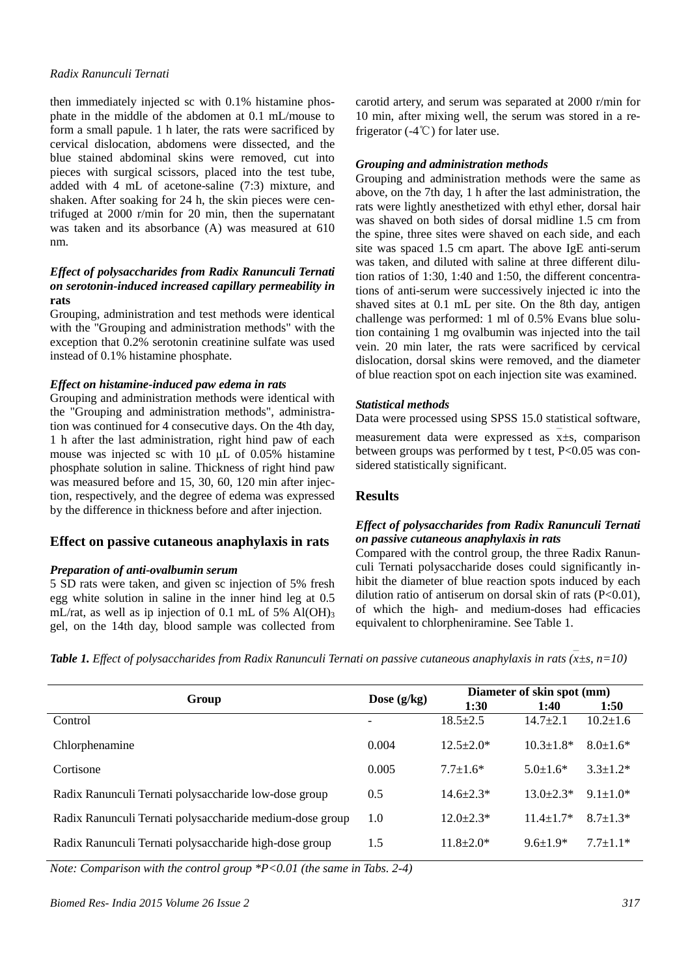#### *Radix Ranunculi Ternati*

then immediately injected sc with 0.1% histamine phosphate in the middle of the abdomen at 0.1 mL/mouse to form a small papule. 1 h later, the rats were sacrificed by cervical dislocation, abdomens were dissected, and the blue stained abdominal skins were removed, cut into pieces with surgical scissors, placed into the test tube, added with 4 mL of acetone-saline (7:3) mixture, and shaken. After soaking for 24 h, the skin pieces were centrifuged at 2000 r/min for 20 min, then the supernatant was taken and its absorbance (A) was measured at 610 nm.

## *Effect of polysaccharides from Radix Ranunculi Ternati on serotonin-induced increased capillary permeability in* **rats**

Grouping, administration and test methods were identical with the "Grouping and administration methods" with the exception that 0.2% serotonin creatinine sulfate was used instead of 0.1% histamine phosphate.

## *Effect on histamine-induced paw edema in rats*

Grouping and administration methods were identical with the "Grouping and administration methods", administration was continued for 4 consecutive days. On the 4th day, 1 h after the last administration, right hind paw of each mouse was injected sc with 10 μL of 0.05% histamine phosphate solution in saline. Thickness of right hind paw was measured before and 15, 30, 60, 120 min after injection, respectively, and the degree of edema was expressed by the difference in thickness before and after injection.

## **Effect on passive cutaneous anaphylaxis in rats**

#### *Preparation of anti-ovalbumin serum*

5 SD rats were taken, and given sc injection of 5% fresh egg white solution in saline in the inner hind leg at 0.5 mL/rat, as well as ip injection of 0.1 mL of 5% Al(OH)<sub>3</sub> gel, on the 14th day, blood sample was collected from carotid artery, and serum was separated at 2000 r/min for 10 min, after mixing well, the serum was stored in a refrigerator (-4℃) for later use.

### *Grouping and administration methods*

Grouping and administration methods were the same as above, on the 7th day, 1 h after the last administration, the rats were lightly anesthetized with ethyl ether, dorsal hair was shaved on both sides of dorsal midline 1.5 cm from the spine, three sites were shaved on each side, and each site was spaced 1.5 cm apart. The above IgE anti-serum was taken, and diluted with saline at three different dilution ratios of 1:30, 1:40 and 1:50, the different concentrations of anti-serum were successively injected ic into the shaved sites at 0.1 mL per site. On the 8th day, antigen challenge was performed: 1 ml of 0.5% Evans blue solution containing 1 mg ovalbumin was injected into the tail vein. 20 min later, the rats were sacrificed by cervical dislocation, dorsal skins were removed, and the diameter of blue reaction spot on each injection site was examined.

## *Statistical methods*

Data were processed using SPSS 15.0 statistical software,

measurement data were expressed as x<sup>+</sup> = comparison between groups was performed by t test, P<0.05 was considered statistically significant.

## **Results**

## *Effect of polysaccharides from Radix Ranunculi Ternati on passive cutaneous anaphylaxis in rats*

Compared with the control group, the three Radix Ranunculi Ternati polysaccharide doses could significantly inhibit the diameter of blue reaction spots induced by each dilution ratio of antiserum on dorsal skin of rats (P<0.01), of which the high- and medium-doses had efficacies equivalent to chlorpheniramine. See Table 1.

| <b>Table 1.</b> Effect of polysaccharides from Radix Ranunculi Ternati on passive cutaneous anaphylaxis in rats (x $\pm$ s, n=10) |  |
|-----------------------------------------------------------------------------------------------------------------------------------|--|

|                                                          | Dose $(g/kg)$ | Diameter of skin spot (mm) |                 |                 |
|----------------------------------------------------------|---------------|----------------------------|-----------------|-----------------|
| Group                                                    |               | 1:30                       | 1:40            | 1:50            |
| Control                                                  |               | $18.5 + 2.5$               | $14.7 + 2.1$    | $10.2 \pm 1.6$  |
| Chlorphenamine                                           | 0.004         | $12.5 + 2.0*$              | $10.3 + 1.8*$   | $8.0 \pm 1.6^*$ |
| Cortisone                                                | 0.005         | $7.7 + 1.6*$               | $5.0 \pm 1.6^*$ | $3.3 \pm 1.2^*$ |
| Radix Ranunculi Ternati polysaccharide low-dose group    | 0.5           | $14.6 \pm 2.3*$            | $13.0 + 2.3*$   | $9.1 + 1.0*$    |
| Radix Ranunculi Ternati polysaccharide medium-dose group | 1.0           | $12.0 + 2.3*$              | $11.4 + 1.7*$   | $8.7 + 1.3*$    |
| Radix Ranunculi Ternati polysaccharide high-dose group   | 1.5           | $11.8 \pm 2.0*$            | $9.6 \pm 1.9*$  | $7.7 \pm 1.1*$  |
|                                                          |               |                            |                 |                 |

*Note: Comparison with the control group \*P<0.01 (the same in Tabs. 2-4)*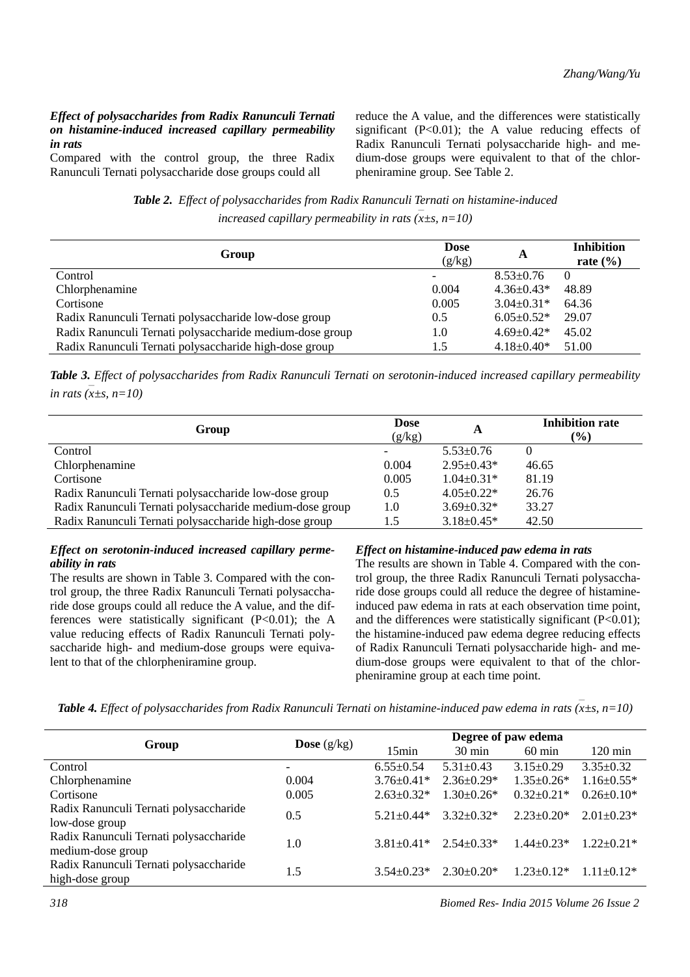#### *Effect of polysaccharides from Radix Ranunculi Ternati on histamine-induced increased capillary permeability in rats*

Compared with the control group, the three Radix Ranunculi Ternati polysaccharide dose groups could all

reduce the A value, and the differences were statistically significant  $(P<0.01)$ ; the A value reducing effects of Radix Ranunculi Ternati polysaccharide high- and medium-dose groups were equivalent to that of the chlorpheniramine group. See Table 2.

*Table 2. Effect of polysaccharides from Radix Ranunculi Ternati on histamine-induced increased capillary permeability in rats (x<sup>±s</sup>, n=10)* 

| Group                                                    | <b>Dose</b><br>(g/kg)    | A                 | <b>Inhibition</b><br>rate $(\% )$ |
|----------------------------------------------------------|--------------------------|-------------------|-----------------------------------|
| Control                                                  | $\overline{\phantom{a}}$ | $8.53 \pm 0.76$   | $\theta$                          |
| Chlorphenamine                                           | 0.004                    | $4.36\pm0.43*$    | 48.89                             |
| Cortisone                                                | 0.005                    | $3.04 \pm 0.31*$  | 64.36                             |
| Radix Ranunculi Ternati polysaccharide low-dose group    | 0.5                      | $6.05 \pm 0.52$ * | 29.07                             |
| Radix Ranunculi Ternati polysaccharide medium-dose group | 1.0                      | $4.69 \pm 0.42^*$ | 45.02                             |
| Radix Ranunculi Ternati polysaccharide high-dose group   | 1.5                      | $4.18 \pm 0.40^*$ | 51.00                             |

*Table 3. Effect of polysaccharides from Radix Ranunculi Ternati on serotonin-induced increased capillary permeability*   $\sum_{n=1}^{\infty}$  *in rats* ( $\overline{x} \pm s$ , *n*=10)

| Group                                                    | <b>Dose</b><br>(g/kg)    | A                 | <b>Inhibition rate</b><br>$($ %) |
|----------------------------------------------------------|--------------------------|-------------------|----------------------------------|
| Control                                                  | $\overline{\phantom{a}}$ | $5.53 \pm 0.76$   |                                  |
| Chlorphenamine                                           | 0.004                    | $2.95 \pm 0.43*$  | 46.65                            |
| Cortisone                                                | 0.005                    | $1.04 \pm 0.31*$  | 81.19                            |
| Radix Ranunculi Ternati polysaccharide low-dose group    | $0.5^{\circ}$            | $4.05 \pm 0.22$ * | 26.76                            |
| Radix Ranunculi Ternati polysaccharide medium-dose group | 1.0                      | $3.69 \pm 0.32*$  | 33.27                            |
| Radix Ranunculi Ternati polysaccharide high-dose group   | . . 5                    | $3.18 \pm 0.45*$  | 42.50                            |

#### *Effect on serotonin-induced increased capillary permeability in rats*

The results are shown in Table 3. Compared with the control group, the three Radix Ranunculi Ternati polysaccharide dose groups could all reduce the A value, and the differences were statistically significant  $(P<0.01)$ ; the A value reducing effects of Radix Ranunculi Ternati polysaccharide high- and medium-dose groups were equivalent to that of the chlorpheniramine group.

#### *Effect on histamine-induced paw edema in rats*

The results are shown in Table 4. Compared with the control group, the three Radix Ranunculi Ternati polysaccharide dose groups could all reduce the degree of histamineinduced paw edema in rats at each observation time point, and the differences were statistically significant  $(P<0.01)$ ; the histamine-induced paw edema degree reducing effects of Radix Ranunculi Ternati polysaccharide high- and medium-dose groups were equivalent to that of the chlorpheniramine group at each time point.

*Table 4. Effect of polysaccharides from Radix Ranunculi Ternati on histamine-induced paw edema in rats (x* — *±s, n=10)* 

| Group                                                       | <b>Dose</b> $(g/kg)$     | Degree of paw edema |                   |                   |                   |
|-------------------------------------------------------------|--------------------------|---------------------|-------------------|-------------------|-------------------|
|                                                             |                          | 15min               | $30 \text{ min}$  | $60 \text{ min}$  | $120 \text{ min}$ |
| Control                                                     | $\overline{\phantom{0}}$ | $6.55 \pm 0.54$     | $5.31 \pm 0.43$   | $3.15 \pm 0.29$   | $3.35 \pm 0.32$   |
| Chlorphenamine                                              | 0.004                    | $3.76 \pm 0.41*$    | $2.36\pm0.29*$    | $1.35 \pm 0.26^*$ | $1.16 \pm 0.55*$  |
| Cortisone                                                   | 0.005                    | $2.63 \pm 0.32^*$   | $1.30\pm0.26*$    | $0.32 \pm 0.21*$  | $0.26 \pm 0.10^*$ |
| Radix Ranunculi Ternati polysaccharide<br>low-dose group    | 0.5                      | $5.21 + 0.44*$      | $3.32 \pm 0.32^*$ | $2.23 \pm 0.20^*$ | $2.01 \pm 0.23$ * |
| Radix Ranunculi Ternati polysaccharide<br>medium-dose group | 1.0                      | $3.81 \pm 0.41*$    | $2.54\pm0.33*$    | $1.44 \pm 0.23*$  | $1.22 + 0.21*$    |
| Radix Ranunculi Ternati polysaccharide<br>high-dose group   | 1.5                      | $3.54\pm0.23*$      | $2.30\pm0.20*$    | $1.23 \pm 0.12^*$ | $1.11 + 0.12*$    |

*318 Biomed Res- India 2015 Volume 26 Issue 2*